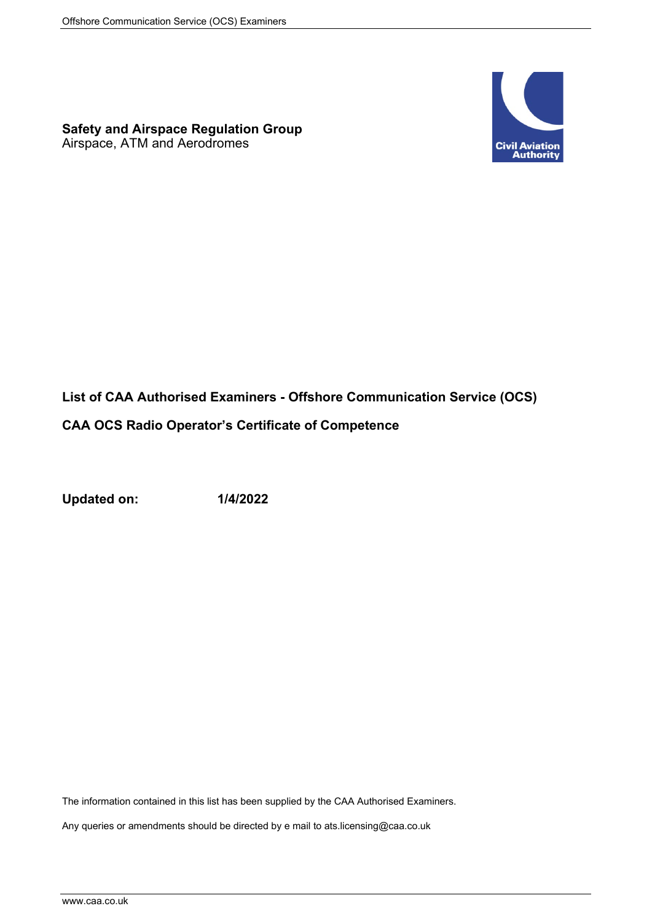## **Safety and Airspace Regulation Group**

Airspace, ATM and Aerodromes



## **List of CAA Authorised Examiners - Offshore Communication Service (OCS)**

## **CAA OCS Radio Operator's Certificate of Competence**

**Updated on: 1/4/2022**

The information contained in this list has been supplied by the CAA Authorised Examiners.

Any queries or amendments should be directed by e mail to ats.licensing@caa.co.uk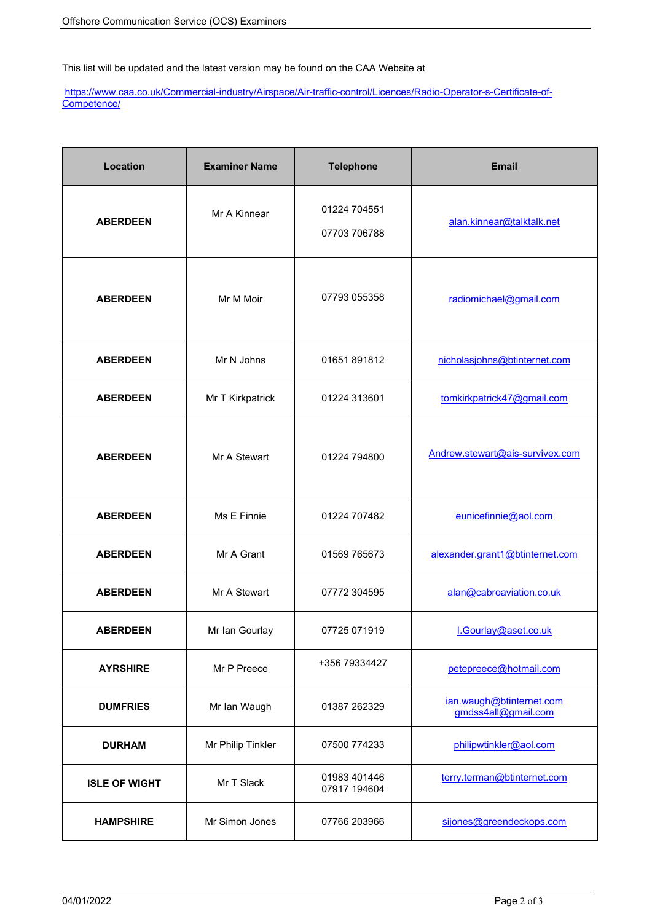This list will be updated and the latest version may be found on the CAA Website at

[https://www.caa.co.uk/Commercial-industry/Airspace/Air-traffic-control/Licences/Radio-Operator-s-Certificate-of-](https://www.caa.co.uk/Commercial-industry/Airspace/Air-traffic-control/Licences/Radio-Operator-s-Certificate-of-Competence/)[Competence/](https://www.caa.co.uk/Commercial-industry/Airspace/Air-traffic-control/Licences/Radio-Operator-s-Certificate-of-Competence/)

| Location             | <b>Examiner Name</b> | <b>Telephone</b>             | <b>Email</b>                                    |
|----------------------|----------------------|------------------------------|-------------------------------------------------|
| <b>ABERDEEN</b>      | Mr A Kinnear         | 01224 704551<br>07703 706788 | alan.kinnear@talktalk.net                       |
| <b>ABERDEEN</b>      | Mr M Moir            | 07793 055358                 | radiomichael@gmail.com                          |
| <b>ABERDEEN</b>      | Mr N Johns           | 01651 891812                 | nicholasjohns@btinternet.com                    |
| <b>ABERDEEN</b>      | Mr T Kirkpatrick     | 01224 313601                 | tomkirkpatrick47@gmail.com                      |
| <b>ABERDEEN</b>      | Mr A Stewart         | 01224 794800                 | Andrew.stewart@ais-survivex.com                 |
| <b>ABERDEEN</b>      | Ms E Finnie          | 01224 707482                 | eunicefinnie@aol.com                            |
| <b>ABERDEEN</b>      | Mr A Grant           | 01569 765673                 | alexander.grant1@btinternet.com                 |
| <b>ABERDEEN</b>      | Mr A Stewart         | 07772 304595                 | alan@cabroaviation.co.uk                        |
| <b>ABERDEEN</b>      | Mr Ian Gourlay       | 07725 071919                 | I.Gourlay@aset.co.uk                            |
| <b>AYRSHIRE</b>      | Mr P Preece          | +356 79334427                | petepreece@hotmail.com                          |
| <b>DUMFRIES</b>      | Mr Ian Waugh         | 01387 262329                 | ian.waugh@btinternet.com<br>gmdss4all@gmail.com |
| <b>DURHAM</b>        | Mr Philip Tinkler    | 07500 774233                 | philipwtinkler@aol.com                          |
| <b>ISLE OF WIGHT</b> | Mr T Slack           | 01983 401446<br>07917 194604 | terry.terman@btinternet.com                     |
| <b>HAMPSHIRE</b>     | Mr Simon Jones       | 07766 203966                 | sijones@greendeckops.com                        |